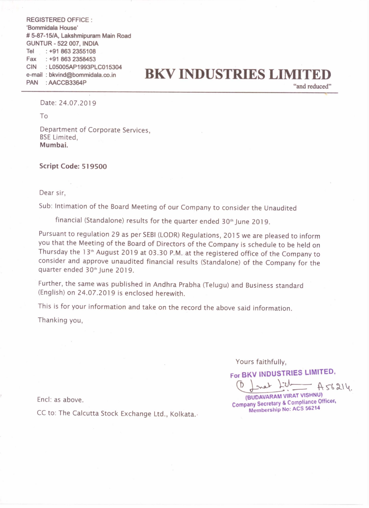REGISTERED OFFICE : 'Bommidala House' # 5-87-15/A, Lakshmipuram Main Road GUNTUR - 522 007, INDIA Tel Fax : +91 863 2358453 CIN : L05005AP1993PLC015304 PAN : AACCB3364P : +91 863 2355108

## e-mail : bkvind@bommidala.co.in **BKV INDUSTRIES LIMITE**

"and reduced" '

Date: 24.07.2019

To

Department of Corporate Services, BSE Limited, Mumbai.

## Script Code: 519500

Dear sir,

Sub: Intimation of the Board Meeting of our Company to consider the Unaudited

financial (Standalone) results for the quarter ended  $30<sup>th</sup>$  June 2019.

Pursuant to regulation <sup>29</sup> as per SEBI (LODR) Regulations, <sup>2015</sup> we are pleased to inform you that the Meeting of the Board of Directors of the Company is schedule to be held on Thursday the <sup>I</sup> 3'h August <sup>2019</sup> at 03.30 PM. at the registered office of the Company to consider and approve unaudited financial results (Standalone) of the Company for the quarter ended 30'"June 2019.

Further, the same was published in Andhra Prabha (Telugu) and Business standard (English) on 24.07.2019 is enclosed herewith.

This is for your information and take on the record the above said information.

Thanking you,

Yours faithfully,

For BKV INDUSTRIES LIMITED.

Yours faithfully,<br> **EXALLATED.**<br>
(D. J. Martin L. Assam.)<br>
(BUDAVARAM VIRAT VISHNU)<br>
(BUDAVARAM VIRAT VISHNU) (BUDAVARAM VIRAT VISHNU)

mpany Secretary & Compliance Officer, Membership No: ACS 56214

Encl: as above.

CC to: The Calcutta Stock Exchange Ltd., Kolkata.-